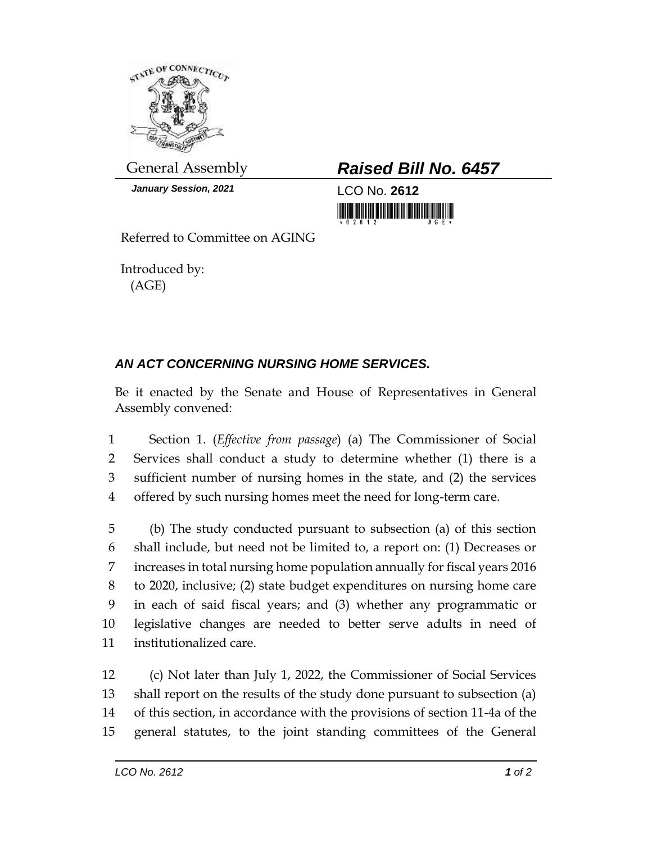

*January Session, 2021* LCO No. **2612**

General Assembly *Raised Bill No. 6457*

Referred to Committee on AGING

Introduced by: (AGE)

## *AN ACT CONCERNING NURSING HOME SERVICES.*

Be it enacted by the Senate and House of Representatives in General Assembly convened:

 Section 1. (*Effective from passage*) (a) The Commissioner of Social Services shall conduct a study to determine whether (1) there is a sufficient number of nursing homes in the state, and (2) the services offered by such nursing homes meet the need for long-term care.

 (b) The study conducted pursuant to subsection (a) of this section shall include, but need not be limited to, a report on: (1) Decreases or increases in total nursing home population annually for fiscal years 2016 to 2020, inclusive; (2) state budget expenditures on nursing home care in each of said fiscal years; and (3) whether any programmatic or legislative changes are needed to better serve adults in need of institutionalized care.

 (c) Not later than July 1, 2022, the Commissioner of Social Services shall report on the results of the study done pursuant to subsection (a) of this section, in accordance with the provisions of section 11-4a of the general statutes, to the joint standing committees of the General